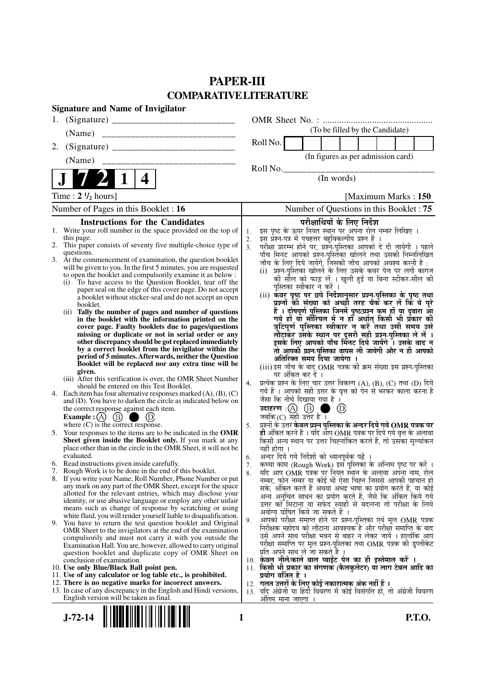# **PAPER-III COMPARATIVE LITERATURE**

|                                      | <b>Signature and Name of Invigilator</b>                                                                                                 |                      |                                                                                                                                |  |  |  |
|--------------------------------------|------------------------------------------------------------------------------------------------------------------------------------------|----------------------|--------------------------------------------------------------------------------------------------------------------------------|--|--|--|
| 1.                                   |                                                                                                                                          |                      |                                                                                                                                |  |  |  |
|                                      | (Name)                                                                                                                                   |                      | (To be filled by the Candidate)                                                                                                |  |  |  |
| 2.                                   |                                                                                                                                          |                      | Roll No.                                                                                                                       |  |  |  |
|                                      | (Name)                                                                                                                                   |                      | (In figures as per admission card)                                                                                             |  |  |  |
|                                      |                                                                                                                                          |                      | Roll No.                                                                                                                       |  |  |  |
|                                      | 4                                                                                                                                        |                      | (In words)                                                                                                                     |  |  |  |
|                                      | Time: $2 \frac{1}{2}$ hours]                                                                                                             | [Maximum Marks: 150] |                                                                                                                                |  |  |  |
| Number of Pages in this Booklet : 16 |                                                                                                                                          |                      | Number of Questions in this Booklet: 75                                                                                        |  |  |  |
|                                      | <b>Instructions for the Candidates</b>                                                                                                   |                      | परीक्षार्थियों के लिए निर्देश                                                                                                  |  |  |  |
|                                      | 1. Write your roll number in the space provided on the top of                                                                            | 1.                   | इस पृष्ठ के ऊपर नियत स्थान पर अपना रोल नम्बर लिखिए ।                                                                           |  |  |  |
|                                      | this page.<br>2. This paper consists of seventy five multiple-choice type of                                                             | 2.                   | इस प्रश्न-पत्र में पचहत्तर बहुविकल्पीय प्रश्न हैं ।                                                                            |  |  |  |
|                                      | questions.                                                                                                                               | 3.                   | परीक्षा प्रारम्भ होने पर, प्रश्न-पुस्तिका आपको दे दी जायेगी । पहले<br>पाँच मिनट आपको प्रश्न-पुस्तिका खोलने तथा उसकी निम्नलिखित |  |  |  |
|                                      | 3. At the commencement of examination, the question booklet                                                                              |                      | जाँच के लिए दिये जायेंगे, जिसकी जाँच आपको अवश्य करनी है :                                                                      |  |  |  |
|                                      | will be given to you. In the first 5 minutes, you are requested                                                                          |                      | (i) प्रश्न-पुस्तिका खोलने के लिए उसके कवर पेज पर लगी कागज                                                                      |  |  |  |
|                                      | to open the booklet and compulsorily examine it as below :<br>To have access to the Question Booklet, tear off the<br>(i)                |                      | की सील को फाड़ लें । खुली हुई या बिना स्टीकर-सील की                                                                            |  |  |  |
|                                      | paper seal on the edge of this cover page. Do not accept                                                                                 |                      | पुस्तिका स्वीकार न करें ।                                                                                                      |  |  |  |
|                                      | a booklet without sticker-seal and do not accept an open                                                                                 |                      | (ii) कवर पृष्ठ पर छपे निर्देशानुसार प्रश्न्-पुस्तिका के पृष्ठ तथा                                                              |  |  |  |
|                                      | booklet.                                                                                                                                 |                      | प्रश्नों की संख्या को अच्छी तरह चैक कर लें कि ये पूरे<br>हैं । दोषपूर्ण पुस्तिका जिनमें पृष्ठ/प्रश्न कम हों या दुबारा आ        |  |  |  |
|                                      | (ii) Tally the number of pages and number of questions<br>in the booklet with the information printed on the                             |                      | गये हों या सीरियल में न हों अर्थात् किसी भी प्रकार की                                                                          |  |  |  |
|                                      | cover page. Faulty booklets due to pages/questions                                                                                       |                      | त्रुटिपूर्ण पुस्तिका स्वीकार न करें तथा उसी समय उसे                                                                            |  |  |  |
|                                      | missing or duplicate or not in serial order or any                                                                                       |                      | लौटाकेर उसके स्थान पर दूसरी सही प्रश्न-पुस्तिका ले लें ।                                                                       |  |  |  |
|                                      | other discrepancy should be got replaced immediately                                                                                     |                      | इसके लिए आपको पाँच मिनट दिये जायेंगे । उसके बाद न                                                                              |  |  |  |
|                                      | by a correct booklet from the invigilator within the<br>period of 5 minutes. Afterwards, neither the Question                            |                      | तो आपकी प्रश्न-पुस्तिका वापस ली जायेगी और न ही आपको                                                                            |  |  |  |
|                                      | Booklet will be replaced nor any extra time will be                                                                                      |                      | अतिरिक्त समय दिया जायेगा ।                                                                                                     |  |  |  |
|                                      | given.                                                                                                                                   |                      | (iii) इस जाँच के बाद OMR पत्रक की क्रम संख्या इस प्रश्न-पुस्तिका<br>पर अंकित कर दें ।                                          |  |  |  |
|                                      | (iii) After this verification is over, the OMR Sheet Number                                                                              | 4.                   | प्रत्येक प्रश्न के लिए चार उत्तर विकल्प (A), (B), (C) तथा (D) दिये                                                             |  |  |  |
|                                      | should be entered on this Test Booklet.                                                                                                  |                      | गये हैं । आपको सही उत्तर के वृत्त को पेन से भरकर काला करना है                                                                  |  |  |  |
|                                      | 4. Each item has four alternative responses marked $(A)$ , $(B)$ , $(C)$<br>and (D). You have to darken the circle as indicated below on |                      | जैसा कि नीचे दिखाया गया है ।                                                                                                   |  |  |  |
|                                      | the correct response against each item.                                                                                                  |                      | (D)                                                                                                                            |  |  |  |
|                                      | $\circled{B}$<br><b>Example</b> : $(A)$<br>(D)                                                                                           |                      | जबकि $(C)$ सही उत्तर है।                                                                                                       |  |  |  |
|                                      | where $(C)$ is the correct response.                                                                                                     | 5.                   | प्रश्नों के उत्तर केवल प्रश्न पुस्तिका के अन्दर दिये गये OMR पत्रक पर                                                          |  |  |  |
|                                      | 5. Your responses to the items are to be indicated in the OMR                                                                            |                      | ही अंकित करने हैं । यदि ऑप OMR पत्रक पर दिये गये वृत्त के अलावा                                                                |  |  |  |
|                                      | Sheet given inside the Booklet only. If you mark at any<br>place other than in the circle in the OMR Sheet, it will not be               |                      | किसी अन्य स्थान पर उत्तर चिह्नांकित करते हैं, तो उसका मृल्यांकन<br>नहीं होगा ।                                                 |  |  |  |
|                                      | evaluated.                                                                                                                               | 6.                   | अन्दर दिये गये निर्देशों को ध्यानपूर्वक पढ़ें ।                                                                                |  |  |  |
|                                      | 6. Read instructions given inside carefully.                                                                                             | 7.                   | कच्चा काम (Rough Work) इस पुस्तिका के अन्तिम पृष्ठ पर करें ।                                                                   |  |  |  |
|                                      | 7. Rough Work is to be done in the end of this booklet.                                                                                  | 8.                   | र्याद आप OMR पत्रक पर नियत स्थान के अलावा अपना नाम, रोल                                                                        |  |  |  |
|                                      | 8. If you write your Name, Roll Number, Phone Number or put<br>any mark on any part of the OMR Sheet, except for the space               |                      | नम्बर, फोन नम्बर या कोई भी ऐसा चिह्न जिससे आपकी पहचान हो                                                                       |  |  |  |
|                                      | allotted for the relevant entries, which may disclose your                                                                               |                      | सके, अंकित करते हैं अथवा अभद्र भाषा का प्रयोग करते हैं, या कोई                                                                 |  |  |  |
|                                      | identity, or use abusive language or employ any other unfair                                                                             |                      | अन्य अनुचित साधन का प्रयोग करते हैं, जैसे कि अंकित किये गये                                                                    |  |  |  |
|                                      | means such as change of response by scratching or using                                                                                  |                      | उत्तर को मिटाना या सफेद स्याही से बदलना तो परीक्षा के लिये<br>अयोग्य घोषित किये जा सकते हैं ।                                  |  |  |  |
|                                      | white fluid, you will render yourself liable to disqualification.                                                                        | 9.                   | आपको परीक्षा समाप्त होने पर प्रश्न-पुस्तिका एवं मूल OMR पत्रक                                                                  |  |  |  |
|                                      | 9. You have to return the test question booklet and Original<br>OMR Sheet to the invigilators at the end of the examination              |                      | निरीक्षक महोदय को लौटाना आवश्यक है और परीक्षा समाप्ति के बाद                                                                   |  |  |  |
|                                      | compulsorily and must not carry it with you outside the                                                                                  |                      | उसे अपने साथ परीक्षा भवन से बाहर न लेकर जायें । हालांकि आप                                                                     |  |  |  |
|                                      | Examination Hall. You are, however, allowed to carry original                                                                            |                      | परीक्षा समाप्ति पर मूल प्रश्न-पुस्तिका तथा OMR पत्रक की डुप्लीकेट                                                              |  |  |  |
|                                      | question booklet and duplicate copy of OMR Sheet on                                                                                      |                      | प्रति अपने साथ ले जा सकते हैं ।                                                                                                |  |  |  |
|                                      | conclusion of examination.                                                                                                               |                      | 10. केवल नीले/काले बाल प्वाईंट पेन का ही इस्तेमाल करें ।<br>11. किसी भी प्रकार का संगणक (कैलकुलेटर) या लाग टेबल आदि का         |  |  |  |
|                                      | 10. Use only Blue/Black Ball point pen.<br>11. Use of any calculator or log table etc., is prohibited.                                   |                      | प्रयोग वर्जित है ।                                                                                                             |  |  |  |
|                                      | 12. There is no negative marks for incorrect answers.                                                                                    |                      | 12.  गलत उत्तरों के लिए कोई नकारात्मक अंक नहीं हैं ।                                                                           |  |  |  |
|                                      | 13. In case of any discrepancy in the English and Hindi versions,                                                                        |                      | 13. यदि अंग्रेजी या हिंदी विवरण में कोई विसंगति हो, तो अंग्रेजी विवरण                                                          |  |  |  |
|                                      | English version will be taken as final.                                                                                                  |                      | अंति <u>म माना जाएगा</u><br>- 1                                                                                                |  |  |  |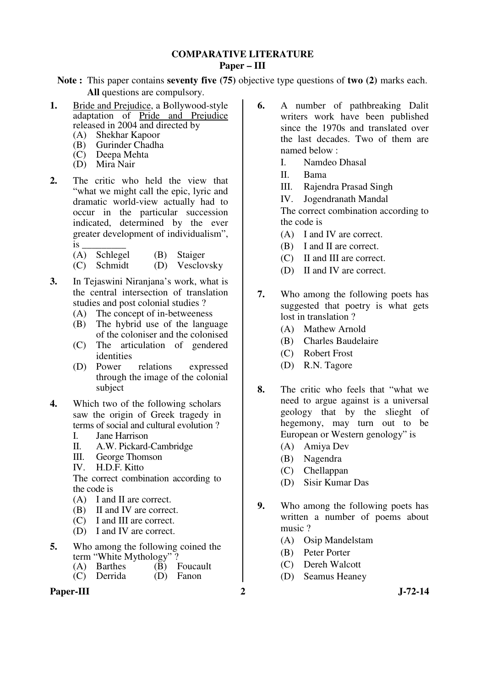#### **COMPARATIVE LITERATURE Paper – III**

**Note :** This paper contains **seventy five (75)** objective type questions of **two (2)** marks each. **All** questions are compulsory.

- **1.** Bride and Prejudice, a Bollywood-style adaptation of Pride and Prejudice released in 2004 and directed by
	- (A) Shekhar Kapoor
	- (B) Gurinder Chadha
	- $(C)$  Deepa Mehta
	- (D) Mira Nair
- **2.** The critic who held the view that "what we might call the epic, lyric and dramatic world-view actually had to occur in the particular succession indicated, determined by the ever greater development of individualism", is \_\_\_\_\_\_\_\_\_
	- (A) Schlegel (B) Staiger
	- (C) Schmidt (D) Vesclovsky
- **3.** In Tejaswini Niranjana's work, what is the central intersection of translation studies and post colonial studies ?
	- (A) The concept of in-betweeness
	- (B) The hybrid use of the language of the coloniser and the colonised
	- (C) The articulation of gendered identities
	- (D) Power relations expressed through the image of the colonial subject
- **4.** Which two of the following scholars saw the origin of Greek tragedy in terms of social and cultural evolution ?<br>I ane Harrison
	- Jane Harrison
	- II. A.W. Pickard-Cambridge
	- III. George Thomson
	- IV. H.D.F. Kitto

 The correct combination according to the code is

- (A) I and II are correct.
- (B) II and IV are correct.
- (C) I and III are correct.
- (D) I and IV are correct.
- **5.** Who among the following coined the term "White Mythology" ?<br>
(A) Barthes (B) I
	- $\overrightarrow{B}$  Foucault<br>
	(D) Fanon
	- $(C)$  Derrida
- Paper-III 2 J-72-14
- **6.** A number of pathbreaking Dalit writers work have been published since the 1970s and translated over the last decades. Two of them are named below :
	- I. Namdeo Dhasal
	- II. Bama
	- III. Rajendra Prasad Singh
	- IV. Jogendranath Mandal

 The correct combination according to the code is

- (A) I and IV are correct.
- (B) I and II are correct.
- (C) II and III are correct.
- (D) II and IV are correct.
- **7.** Who among the following poets has suggested that poetry is what gets lost in translation ?
	- (A) Mathew Arnold
	- (B) Charles Baudelaire
	- (C) Robert Frost
	- (D) R.N. Tagore
- **8.** The critic who feels that "what we need to argue against is a universal geology that by the slieght of hegemony, may turn out to be European or Western genology" is
	- (A) Amiya Dev
	- (B) Nagendra
	- (C) Chellappan
	- (D) Sisir Kumar Das
- **9.** Who among the following poets has written a number of poems about music ?
	- (A) Osip Mandelstam
	- (B) Peter Porter
	- (C) Dereh Walcott
	- (D) Seamus Heaney
-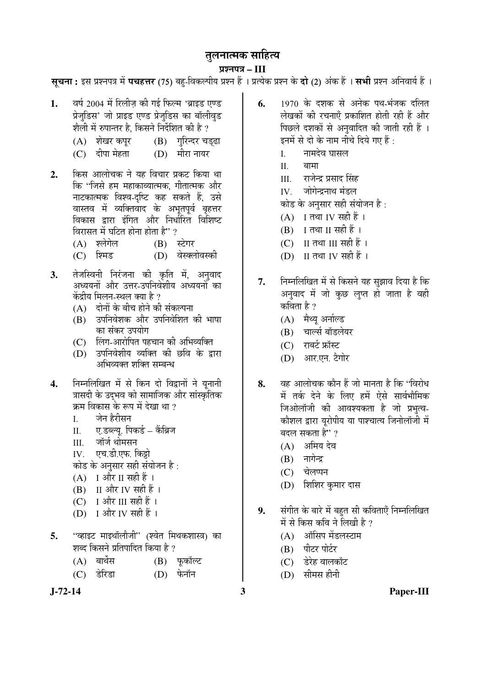### तुलनात्मक साहित्य

#### प्रश्नपत्र – III

**सूचना :** इस प्रश्नपत्र में **पचहत्तर** (75) बहु-विकल्पीय प्रश्न हैं । प्रत्येक प्रश्न के **दो** (2) अंक हैं । **सभी** प्रश्न अनिवार्य हैं ।

- 1. वर्ष 2004 में रिलीज की गई फिल्म 'ब्राइड एण्ड प्रेजुडिस' जो प्राइड एण्ड प्रेजुडिस का बॉलीवुड <u>शैली में रुपान्तर है. किसने निर्देशित की है ?</u>
	- (A) शेखर कपुर (B) गुरिन्दर चडढा
	- (C) दीपा मेहता (D) मीरा नायर
- 2. किस आलोचक ने यह विचार प्रकट किया था कि ''जिसे हम महाकाव्यात्मक, गीतात्मक और नाटकात्मक विश्व-दृष्टि कह सकते हैं, उसे वास्तव में व्यक्तिवाद के अभूतपूर्व बृहत्तर विकास द्वारा इंगित और निर्धारित विशिष्ट विरासत में घटित होना होता है" ?
	- (A) श्लेगेल (B) स्टेगर<br>(C) श्मिड (D) वेस्क्ल
	- (D) वेस्क्लोवस्की
- **3.** तेजस्विनी निरंजना की कृति में, अनुवाद अध्ययनों और उत्तर-उपनिवेशीय अध्ययनों का केंद्रीय मिलन-स्थल क्या है ?
	- $(A)$  दोनों के बीच होने की संकल्पना
	- (B) उपनिवेशक और उपनिवेशित की भाषा का संकर उपयोग
	- (C) लिंग-आरोपित पहचान को अभिव्यक्ति
	- $(D)$  उपनिवेशीय व्यक्ति की छवि के द्वारा अभिव्यक्त शक्ति सम्बन्ध
- 4. निम्नलिखित में से किन दो विद्वानों ने यूनानी त्रासदी के उदभव को सामाजिक और सांस्कृतिक क्रम विकास के रूप में देखा था ?
	- I. जेन हैरीसन
	- II. ए.डब्ल्यू. पिकर्ड कैंब्रिज
	- III. जॉर्ज थोमसन
	- IV. एच.डी.एफ. किझे
	- कोड के अनुसार सही संयोजन है:
	- $(A)$  I और II सही हैं।
	- $(B)$  II और IV सही हैं।
	- (C) I और III सही हैं ।
	- (D) I और IV सही हैं ।
- **5.** "व्हाइट माइथॉलौजी" (श्वेत मिथकशास्त्र) का शब्द किसने प्रतिपादित किया है ?
	- $(A)$  बार्थेस  $(B)$  फूकॉल्ट
	- (C) डेरिडा (D) फेनॉन
- 
- **6.** 1970 के दशक से अनेक पथ-भंजक दलित लेखकों की रचनाएँ प्रकाशित होती रही हैं और पिछले दशकों से अनुवादित की जाती रही हैं । इनमें से दो के नाम नीचे दिये गए हैं $\,\cdot\,$ 
	- I. नामदेव घासल
	- II. ²ÖÖ´ÖÖ
	- III. राजेन्द्र प्रसाद सिंह
	- IV. जोगेन्द्रनाथ मंडल

कोड के अनुसार सही संयोजन है:

- $(A)$  I तथा IV सही हैं।
- $(B)$  I तथा II सही हैं ।
- (C) II तथा III सही हैं ।
- $(D)$  II तथा IV सही हैं।
- 7. निम्नलिखित में से किसने यह सुझाव दिया है कि अनुवाद में जो कुछ लुप्त हो जाता है वही कविता है ?
	- (A) मैथ्य अर्नाल्ड
	- (B) चार्ल्स बॉडलेयर
	- $(C)$  राबर्ट फ्रॉस्ट
	- (D) आर.एन. टैगोर
- **8.** वह आलोचक कौन हैं जो मानता है कि ''विरोध में तर्क देने के लिए हमें ऐसे सार्वभौमिक जिओलॉजी की आवश्यकता है जो प्रभुत्व-कौशल द्वारा यरोपीय या पाश्चात्य जिनोलॉजी में बदल सकता है" ?
	- $(A)$  अमिय देव
	- $(B)$  नागेन्द्र
	- (C) चेलप्पन
	- (D) शिशिर कुमार दास
- **9.** संगीत के बारे में बहुत सी कविताएँ निम्नलिखित में से किस कवि ने लिखी है ?
	- (A) ऑसिप मेंडलस्टाम
	- (B) पीटर पोर्टर
	- $(C)$  डेरेह वालकॉट
	- (D) सीमस हीनी
- **J-72-14 3 Paper-III**
-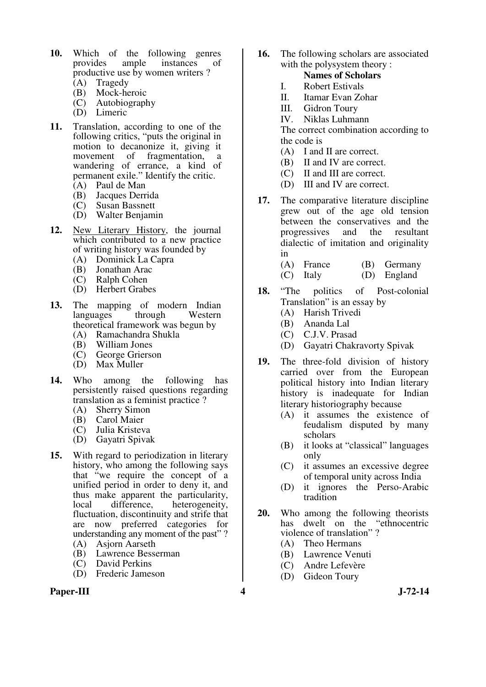- **10.** Which of the following genres provides ample instances of instances of productive use by women writers ?
	- (A) Tragedy<br>(B) Mock-he
	- Mock-heroic
	- (C) Autobiography (D) Limeric
- **11.** Translation, according to one of the following critics, "puts the original in motion to decanonize it, giving it movement of fragmentation, a wandering of errance, a kind of permanent exile." Identify the critic.
	- (A) Paul de Man<br>(B) Jacques Derr
	- (B) Jacques Derrida<br>(C) Susan Bassnett
	- Susan Bassnett
	- (D) Walter Benjamin
- **12.** New Literary History, the journal which contributed to a new practice of writing history was founded by
	- (A) Dominick La Capra
	- (B) Jonathan Arac
	- (C) Ralph Cohen
	- (D) Herbert Grabes
- **13.** The mapping of modern Indian languages through Western theoretical framework was begun by
	- (A) Ramachandra Shukla
	- (B) William Jones
	- (C) George Grierson
	- (D) Max Muller
- **14.** Who among the following has persistently raised questions regarding translation as a feminist practice ?
	- (A) Sherry Simon
	- (B) Carol Maier
	- (C) Julia Kristeva
	- (D) Gayatri Spivak
- **15.** With regard to periodization in literary history, who among the following says that "we require the concept of a unified period in order to deny it, and thus make apparent the particularity,<br>local difference, heterogeneity, local difference, heterogeneity, fluctuation, discontinuity and strife that are now preferred categories for understanding any moment of the past"?
	- (A) Asjorn Aarseth
	- (B) Lawrence Besserman
	- (C) David Perkins
	- (D) Frederic Jameson

#### **Paper-III 4 J-72-14**

**16.** The following scholars are associated with the polysystem theory :

# **Names of Scholars**<br> **I.** Robert Estivals

- I. Robert Estivals<br>II Itamar Evan Zo
- Itamar Evan Zohar
- III. Gidron Toury
- IV. Niklas Luhmann

 The correct combination according to the code is

- (A) I and II are correct.
- (B) II and IV are correct.
- (C) II and III are correct.
- (D) III and IV are correct.
- **17.** The comparative literature discipline grew out of the age old tension between the conservatives and the progressives and the resultant dialectic of imitation and originality in
	- (A) France (B) Germany
	- (C) Italy (D) England
- **18.** "The politics of Post-colonial Translation" is an essay by
	- (A) Harish Trivedi
	- (B) Ananda Lal
	- (C) C.J.V. Prasad
	- (D) Gayatri Chakravorty Spivak
- **19.** The three-fold division of history carried over from the European political history into Indian literary history is inadequate for Indian literary historiography because
	- (A) it assumes the existence of feudalism disputed by many scholars
	- (B) it looks at "classical" languages only
	- (C) it assumes an excessive degree of temporal unity across India
	- (D) it ignores the Perso-Arabic tradition
- **20.** Who among the following theorists has dwelt on the "ethnocentric violence of translation" ?
	- (A) Theo Hermans
	- (B) Lawrence Venuti
	- (C) Andre Lefevère
	- (D) Gideon Toury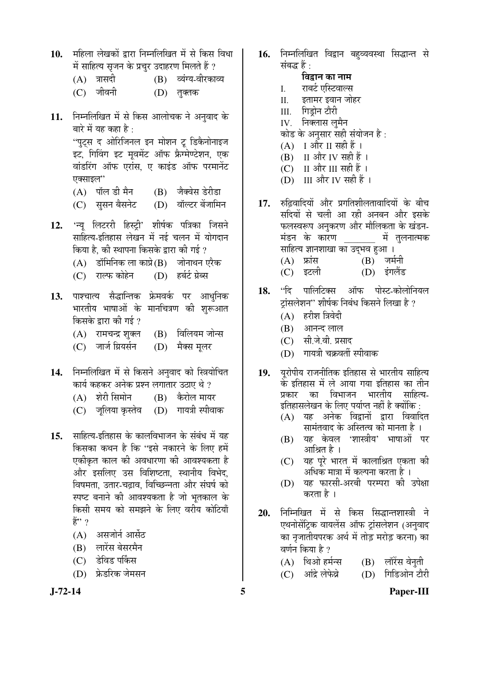- 10. THE REAL REAG END FRAMENT AT A POST ON THE <sup>10</sup>U में साहित्य सृजन के प्रचुर उदाहरण मिलते हैं ?
	- (A) त्रासदी (B) व्यंग्य-वीरकाव्य
	- (C) जीवनी (D) तुक्तक
- 11. निम्नलिखित में से किस आलोचक ने अनुवाद के बारे में यह कहा है :

"पट्स द ओरिजिनल इन मोशन टू डिकैनोनाइज इट, गिविंग इट मूवमेंट ऑफ फ्रैग्मेण्टेशन, एक वांडरिंग ऑफ एरांस. ए काइंड ऑफ परमानेंट

- एक्साइल''<br>(A) पॉल डी मैन (B) जैक्वेस डेरीडा
- (C) ससन बैसनेट (D) वॉल्टर बेंजामिन
- 12. 'न्यू लिटररी हिस्ट्री' शीर्षक पत्रिका जिसने <u>साहित्य-इतिहास लेखन में नई चलन में योगदान</u> किया है, की स्थापना किसके द्वारा की गई ?
	-
	- (A) डॉमिनिक ला काप्रे(B) जोनाथन एरैक<br>(C) राल्फ कोहेन (D) हर्बर्ट ग्रेब्स (C) राल्फ कोहेन

13. पाश्चात्य सैद्धान्तिक फ्रेमवर्क पर आधुनिक भारतीय भाषाओं के मानचित्रण की शरूआत किसके द्वारा की गई ?

- $(A)$  रामचन्द्र शुक्ल  $(B)$  विलियम जोन्स
- (C) जार्ज ग्रियर्सन (D) मैक्स मलर
- 14. निम्नलिखित में से किसने अनुवाद को स्त्रियोचित कार्य कहकर अनेक प्रश्न लगातार उठाए थे ?
	- (A) शेरी सिमोन (B) कैरोल मायर
	- $(C)$  जलिया कस्तेव  $(D)$  गायत्री स्पीवाक
- 15. साहित्य-इतिहास के कालविभाजन के संबंध में यह किसका कथन है कि ''इसे नकारने के लिए हमें एकीकृत काल की अवधारणा की आवश्यकता है और इसलिए उस विशिष्टता, स्थानीय विभेद, विषमता, उतार-चढ़ाव, विच्छिन्नता और संघर्ष को स्पष्ट बनाने की आवश्यकता है जो भृतकाल के किसी समय को समझने के लिए वरीय कोटियाँ  $\frac{3}{6}$ " ?
	- $(A)$  असजोर्न आर्सेठ
	- (B) लारेंस बेसरमैन
	- (C) डेविड पर्किस
	- (D) फ्रेडरिक जेमसन
- 16. निम्नलिखित विद्वान बहव्यवस्था सिद्धान्त से संबद्ध हैं :
	- विद्वान का नाम
	- I. √ाबर्ट एस्टिवाल्स
	- II. इतामर इवान जोहर
	- III. गिड़ोन टौरी
	- IV. निक्लास लमैन
	- <u>कोड के अनुसार सही संयोजन है</u> :
	- $(A)$  I और II सही हैं ।<br>(B) II और IV सही हैं
	- II और IV सही हैं ।
	- $(C)$  II और III सही हैं ।
	- (D) III और IV सही हैं ।
- 17. रुढिवादियों और प्रगतिशीलतावादियों के बीच सदियों से चली आ रही अनबन और इसके फलस्वरूप अनुकरण और मौलिकता के खंडन-<br>मंडन के कारण े पं तलनात्मक साहित्य ज्ञानशाखा का उदभव हुआ ।
	- (A) फ्रांस (B) जर्मनी<br>(C) इटली (D) इंगलैंड  $(D)$  इंगलैंड
- 18. "दि पालिटिक्स ऑफ पोस्ट-कोलोनियल ट्रांसलेशन" शीर्षक निबंध किसने लिखा है ?
	- $(A)$  हरीश त्रिवेदी
	- (B) आनन्द लाल
	- (C) सी.जे.वी. प्रसाद
	- (D) गायत्री चक्रवर्ती स्पीवाक
- 19. यरोपीय राजनीतिक इतिहास से भारतीय साहित्य के इतिहास में ले आया गया इतिहास का तीन<br>प्रकार का विभाजन भारतीय साहित्य-विभाजन इतिहासलेखन के लिए पर्याप्त नहीं है क्योंकि :
	- $(A)$  यह अनेक विद्वानों द्वारा विवादित सामंतवाद के अस्तित्व को मानता है ।
	- (B) यह केवल 'शास्त्रीय' भाषाओं पर आश्रित है ।
	- $(C)$  यह परे भारत में कालाश्रित एकता की अधिक मात्रा में कल्पना करता है ।
	- (D) यह फारसी-अरबी परम्परा की उपेक्षा करता है ।
- 20. निम्निखित में से किस सिद्धान्तशास्त्री ने एथनोसेंटिक वायलेंस ऑफ ट्रांसलेशन (अनुवाद का नृजातीयपरक अर्थ में तोड़ मरोड़ करना) का वर्णन किया है ?
	- $(A)$  थिओ हर्मन्स  $(B)$  लॉरेंस वेनती
	- (C) आंद्रे लेफेब्रे (D) गिडिओन टौरी
- 

## **J-72-14 5 Paper-III**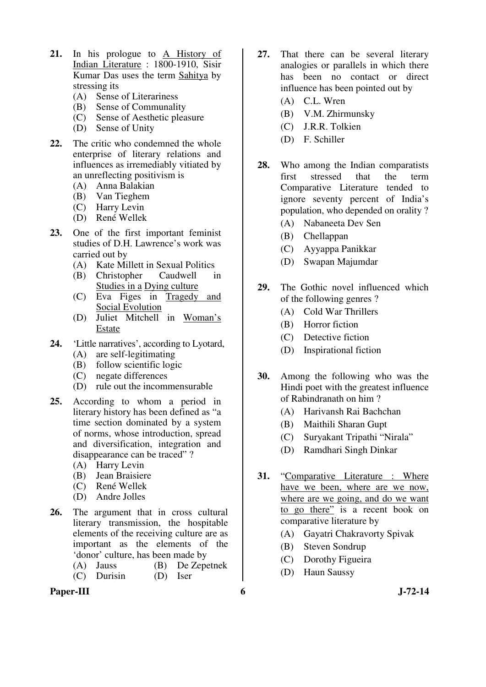- **21.** In his prologue to A History of Indian Literature : 1800-1910, Sisir Kumar Das uses the term Sahitya by stressing its
	- (A) Sense of Literariness
	- (B) Sense of Communality
	- (C) Sense of Aesthetic pleasure
	- (D) Sense of Unity
- **22.** The critic who condemned the whole enterprise of literary relations and influences as irremediably vitiated by an unreflecting positivism is
	- (A) Anna Balakian
	- (B) Van Tieghem
	- (C) Harry Levin
	- (D) René Wellek
- **23.** One of the first important feminist studies of D.H. Lawrence's work was carried out by
	- (A) Kate Millett in Sexual Politics
	- (B) Christopher Caudwell in Studies in a Dying culture
	- (C) Eva Figes in Tragedy and Social Evolution
	- (D) Juliet Mitchell in Woman's Estate
- **24.** 'Little narratives', according to Lyotard,
	- (A) are self-legitimating
	- (B) follow scientific logic
	- (C) negate differences
	- (D) rule out the incommensurable
- **25.** According to whom a period in literary history has been defined as "a time section dominated by a system of norms, whose introduction, spread and diversification, integration and disappearance can be traced" ?
	- (A) Harry Levin
	- (B) Jean Braisiere
	- (C) René Wellek
	- (D) Andre Jolles
- **26.** The argument that in cross cultural literary transmission, the hospitable elements of the receiving culture are as important as the elements of the 'donor' culture, has been made by
	- (A) Jauss (B) De Zepetnek (C) Durisin (D) Iser
- Paper-III 6 J-72-14
- **27.** That there can be several literary analogies or parallels in which there has been no contact or direct influence has been pointed out by
	- (A) C.L. Wren
	- (B) V.M. Zhirmunsky
	- (C) J.R.R. Tolkien
	- (D) F. Schiller
- **28.** Who among the Indian comparatists first stressed that the term Comparative Literature tended to ignore seventy percent of India's population, who depended on orality ?
	- (A) Nabaneeta Dev Sen
	- (B) Chellappan
	- (C) Ayyappa Panikkar
	- (D) Swapan Majumdar
- **29.** The Gothic novel influenced which of the following genres ?
	- (A) Cold War Thrillers
	- (B) Horror fiction
	- (C) Detective fiction
	- (D) Inspirational fiction
- **30.** Among the following who was the Hindi poet with the greatest influence of Rabindranath on him ?
	- (A) Harivansh Rai Bachchan
	- (B) Maithili Sharan Gupt
	- (C) Suryakant Tripathi "Nirala"
	- (D) Ramdhari Singh Dinkar
- **31.** "Comparative Literature : Where have we been, where are we now, where are we going, and do we want to go there" is a recent book on comparative literature by
	- (A) Gayatri Chakravorty Spivak
	- (B) Steven Sondrup
	- (C) Dorothy Figueira
	- (D) Haun Saussy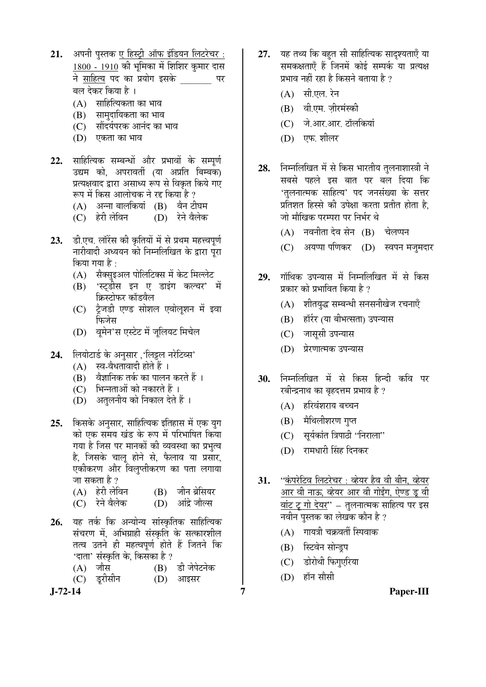- 21. अपनी पुस्तक ए हिस्ट्री ऑफ इंडियन लिटरेचर: 1800 - 1910 की भूमिका में शिशिर कमार दास ने साहित्य पद का प्रयोग इसके पर बल देकर किया है ।
	- $(A)$  साहित्यिकता का भाव
	- (B) सामुदायिकता का भाव
	- (C) सौंदर्यपरक आनंद का भाव
	- (D) एकता का भाव
- 22. साहित्यिक सम्बन्धों और प्रभावों के सम्पूर्ण उद्यम को, अपरावर्ती (या अप्रति बिम्बक) प्रत्यक्षवाद द्वारा असाध्य रूप से विकृत किये गए रूप में किस आलोचक ने रद्द किया है ?
	- (A) अन्ना बालकियां (B) वैन टीघम<br>(C) हेरी लेविन (D) रेने वैलेक
	- (D) रेने वैलेक
- 23. *डी.एच. लॉरेंस की कृतियों में से प्रथम महत्त्वपू*र्ण नारीवादी अध्ययन को निम्नलिखित के द्वारा पूरा किया गया है:
	- (A) सैक्सइअल पोलिटिक्स में केट मिल्लेट
	- (B) 'स्ट्डीस इन ए डाइंग कल्चर' में क्रिस्टोफर कॉडवैल
	- (C) टैजडी एण्ड सोशल एवोलुशन में इवा फिजेस
	- (D) वमेन'स एस्टेट में जुलियट मिचेल
- 24. लियोटार्ड के अनुसार ,'लिइल नरेटिव्स'
	- $(A)$  स्व-वैधतावादी होते हैं।
	- $(B)$  वैज्ञानिक तर्क का पालन करते हैं ।
	- (C) भिन्नताओं को नकारते हैं ।
	- (D) । अतुलनीय को निकाल देते हैं ।
- **25.** किसके अनुसार, साहित्यिक इतिहास में एक युग को एक समय खंड के रूप में परिभाषित किया गया है जिस पर मानकों की व्यवस्था का प्रभुत्व है, जिसके चालू होने से, फैलाव या प्रसार, एकीकरण और विलप्तीकरण का पता लगाया जा सकता है ?<br>(A) हेरी लेविन
	- (A) हेरी लेविन (B) जीन ब्रेसियर<br>(C) रेने वैलेक (D) आंद्रे जौल्स
	- (D) आंद्रे जौल्स
- 26. यह तर्क कि अन्योन्य सांस्क्रतिक साहित्यिक संचरण में, अभिग्राही संस्कृति के सत्कारशील तत्व उतने ही महत्वपूर्ण होते हैं जितने कि 'दाता' संस्कृति के, किसका है ?<br>(A) जौस
	- (B) ही जेपेटनेक
	- (C) डरीसीन (D) आइसर

- 27. यह तथ्य कि बहत सी साहित्यिक सादश्यताएँ या ्<br>समकक्षताएँ हैं जिनमें कोई सम्पर्क या प्रत्यक्ष प्रभाव नहीं रहा है किसने बताया है  $\overline{v}$ 
	- $(A)$  सी.एल. रेन
	- (B) वी.एम. जीरमंस्की
	- (C) जे.आर.आर. टॉलकियां
	- (D) एफ. शीलर
- **28.** निम्नलिखित में से किस भारतीय तुलनाशास्त्री ने सबसे पहले इस बात पर बल दिया क<mark>ि</mark> 'तलनात्मक साहित्य' पद जनसंख्या के सत्तर प्रतिशत हिस्से की उपेक्षा करता प्रतीत होता है. जो मौखिक परम्परा पर निर्भर थे
	- $(A)$  नवनीता देव सेन $(B)$  चेलप्पन
	- (C) अयप्पा पणिकर (D) स्वपन मजूमदार
- 29. गॉथिक उपन्यास में निम्नलिखित में से किस प्रकार को प्रभावित किया है ?
	- $(A)$  शीतयुद्ध सम्बन्धी सनसनीखेज रचनाएँ
	- (B) हॉर्रर (या बीभत्सता) उपन्यास
	- (C) जासूसी उपन्यास
	- (D) प्रेरणात्मक उपन्यास
- 30. निम्नलिखित में से किस हिन्दी कवि पर रबीन्द्रनाथ का बृहदत्तम प्रभाव है ?
	- $(A)$  हरिवंशराय बच्चन
	- (B) मैथिलीशरण गुप्त
	- (C) सर्यकांत त्रिपाठी "निराला"
	- (D) रामधारी सिंह दिनकर
- 31. "कंपरेटिव लिटरेचर: व्हेयर हैव वी बीन, व्हेयर आर वी नाऊ, व्हेयर आर वी गोईंग, ऐण्ड डु वी वांट ट गो देयर'' – तुलनात्मक साहित्य पर इस नवीन पुस्तक का लेखक कौन है ?
	- $(A)$  गायत्री चक्रवर्ती स्पिवाक
	- (B) स्टिवेन सोन्ड्रप
	- (C) डोरोथी फिगुएरिया
	- $(D)$  हॉन सौसी

**J-72-14 7 Paper-III**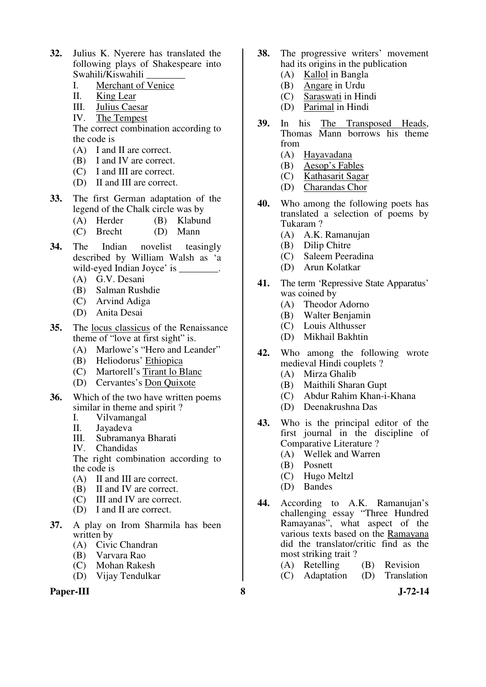- **32.** Julius K. Nyerere has translated the following plays of Shakespeare into Swahili/Kiswahili \_\_\_\_\_\_\_\_
	- I. Merchant of Venice
	- II. King Lear
	- III. Julius Caesar
	- IV. The Tempest
	- The correct combination according to the code is
	- (A) I and II are correct.
	- (B) I and IV are correct.
	- (C) I and III are correct.
	- (D) II and III are correct.
- **33.** The first German adaptation of the legend of the Chalk circle was by
	- (A) Herder (B) Klabund
	- (C) Brecht (D) Mann
- **34.** The Indian novelist teasingly described by William Walsh as 'a wild-eyed Indian Joyce' is .
	- (A) G.V. Desani
	- (B) Salman Rushdie
	- (C) Arvind Adiga
	- (D) Anita Desai
- **35.** The locus classicus of the Renaissance theme of "love at first sight" is.
	- (A) Marlowe's "Hero and Leander"
	- (B) Heliodorus' Ethiopica
	- (C) Martorell's Tirant lo Blanc
	- (D) Cervantes's Don Quixote
- **36.** Which of the two have written poems similar in theme and spirit ?
	- I. Vilvamangal
	- II. Jayadeva
	- III. Subramanya Bharati
	- Chandidas

 The right combination according to the code is

- (A) II and III are correct.
- (B) II and IV are correct.
- (C) III and IV are correct.
- (D) I and II are correct.
- **37.** A play on Irom Sharmila has been written by
	- (A) Civic Chandran
	- (B) Varvara Rao
	- (C) Mohan Rakesh
	- (D) Vijay Tendulkar

#### **Paper-III 8 J-72-14**

- **38.** The progressive writers' movement had its origins in the publication
	- (A) Kallol in Bangla
	- (B) Angare in Urdu
	- (C) Saraswati in Hindi
	- (D) Parimal in Hindi
- **39.** In his The Transposed Heads, Thomas Mann borrows his theme from
	- (A) Hayavadana
	- (B) Aesop's Fables
	- (C) Kathasarit Sagar
	- (D) Charandas Chor
- **40.** Who among the following poets has translated a selection of poems by Tukaram ?
	- (A) A.K. Ramanujan
	- (B) Dilip Chitre
	- (C) Saleem Peeradina
	- (D) Arun Kolatkar
- **41.** The term 'Repressive State Apparatus' was coined by
	- (A) Theodor Adorno
	- (B) Walter Benjamin
	- (C) Louis Althusser
	- (D) Mikhail Bakhtin
- **42.** Who among the following wrote medieval Hindi couplets ?
	- (A) Mirza Ghalib
	- (B) Maithili Sharan Gupt
	- (C) Abdur Rahim Khan-i-Khana
	- (D) Deenakrushna Das
- **43.** Who is the principal editor of the first journal in the discipline of Comparative Literature ?
	- (A) Wellek and Warren
	- (B) Posnett
	- (C) Hugo Meltzl
	- (D) Bandes
- **44.** According to A.K. Ramanujan's challenging essay "Three Hundred Ramayanas", what aspect of the various texts based on the Ramayana did the translator/critic find as the most striking trait ?
	- (A) Retelling (B) Revision (C) Adaptation (D) Translation
		-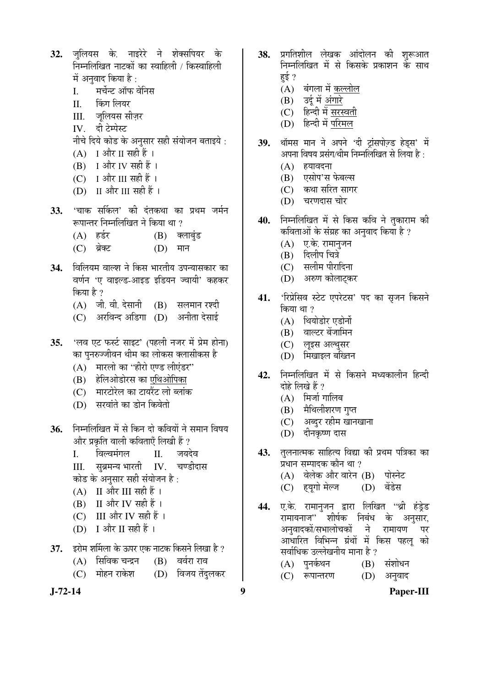- 32. जलियस के. नाइरेरे ने शेक्सपियर के निम्नलिखित नाटकों का स्वाहिली / किस्वाहिली में अनवाद किया है:
	- I. मर्चेन्ट ऑफ वेनिस
	- II. किंग लियर
	- III. जूलियस सीज़र
	- IV. दी टेम्पेस्ट
	- नीचे दिये कोड के अनुसार सही संयोजन बताइये :
	- $(A)$  I और II सही हैं।
	- $(B)$  I और IV सही हैं।
	- $(C)$  I और III सही हैं।
	- (D) II और III सही हैं।
- **33.** 'चाक सर्किल' की दंतकथा का प्रथम जर्मन रूपान्तर निम्नलिखित ने किया था  $\overline{v}$ 
	- (A) Æü›Ôü¸ü (B) Œ»ÖÖ²ÖãÓ›ü
	- (C) ब्रेक्ट (D) मान
- 34. विलियम वाल्श ने किस भारतीय उपन्यासकार का वर्णन 'ए वाइल्ड-आइड इडियन ज्वायी' कहकर किया है ?
	- $(A)$  जी. वी. देसानी  $(B)$  सलमान रश्दी
	- $(C)$  अरविन्द अडिगा  $(D)$  अनीता देसाई
- 35. 'लव एट फर्स्ट साइट' (पहली नजर में प्रेम होना) का पनरुज्जीवन थीम का लोकस क्लासीकस है
	- (A) मारलो का "हीरो एण्ड लीएंडर"
	- (B) हेलिओडोरस का एथिओपिका
	- $(C)$   $\;$  मारटोरेल का टायरैंट लो ब्लांक
	- $(D)$  सरवांते का डोन किवेतो
- **36.** ×®Ö´®Ö×»Ö×ÜÖŸÖ ´Öë ÃÖê ×Ûú®Ö ¤üÖê Ûú×¾ÖµÖÖë ®Öê ÃÖ´ÖÖ®Ö ×¾ÖÂÖµÖ और प्रकृति वाली कविताएँ लिखी हैं ?
	- I. विल्वमंगल II. जयदेव
	- III. सब्रमन्य भारती IV. चण्डीदास
	- कोड के अनुसार सही संयोजन है :
	- $(A)$  II और III सही हैं।
	- (B) II और IV सही हैं।
	- (C) III और IV सही हैं।
	- (D) I और II सही हैं ।
- **37.** इरोम शर्मिला के ऊपर एक नाटक किसने लिखा है ?
	- (A) सिविक चन्द्रन (B) वर्वरा राव
	- (C) मोहन राकेश (D) विजय तेंदुलकर
- **J-72-14 9 Paper-III**
- 38. प्रगतिशील लेखक आंदोलन की शुरूआत निम्नलिखित में से किसके प्रकाशन के साथ हई ?
	- (A) बंगला में कल्लोल
	- (B) उर्दू में <u>अंगारे</u>
	- (C) हिन्दी में सरस्वती
	- $(D)$  हिन्दी में परिमल
- 39. थॉमस मान ने अपने 'दी ट्रांसपोज़्ड हेड्स' में आपना विषय प्रसंग/थीम निम्नलिखित से लिया है :
	- $(A)$  हयावदना
	- (B) एसोप'स फेबल्स
	- $(C)$  कथा सरित सागर
	- (D) चरणदास चोर
- 40. निम्नलिखित में से किस कवि ने तुकाराम की कविताओं के संग्रह का अनुवाद किया है ?
	- $(A)$  ए.के. रामानुजन
	- (B) दिलीप चित्रे
	- (C) सलीम पीरादिना
	- (D) अरुण कोलाट्कर
- 41. 'रिप्रेसिव स्टेट एपरेटस' पद का सृजन किसने किया था  $\gamma$ 
	- $(A)$  थियोडोर एडोर्नो
	- (B) वाल्टर बेंजामिन
	- (C) लूइस अल्थूसर
	- (D) मिखाइल बख्तिन
- 42. निम्नलिखित में से किसने मध्यकालीन हिन्दी दोहे लिखे हैं ?
	- $(A)$  मिर्जा गालिब
	- (B) मैथिलीशरण गुप्त
	- (C) अब्दुर रहीम खानखाना
	- (D) दीनकृष्ण दास
- 43. तलनात्मक साहित्य विद्या की प्रथम पत्रिका का प्रधान सम्पादक कौन था ?
	- (A) वेलेक और वारेन (B) पोस्नेट<br>(C) हयुगो मेल्ज (D) बेंडेस
	- (C) हयगो मेल्ज
- 44. ए.के. रामानुजन द्वारा लिखित "थ्री हंडेड रामायनाज'' शीर्षक निबंध के अनुसार,<br>अनवादकों/सभालोचकों ने रामायण पर अनुवादकों/सभालोचकों ने रामायण पर आधारित विभिन्न ग्रंथों में किस पहल को सर्वाधिक उल्लेखनीय माना है ?<br>(A) पुनर्कथन (B) संशोधन
	- $(A)$  पुनर्कथन
	- (C) रूपान्तरण (D) अनुवाद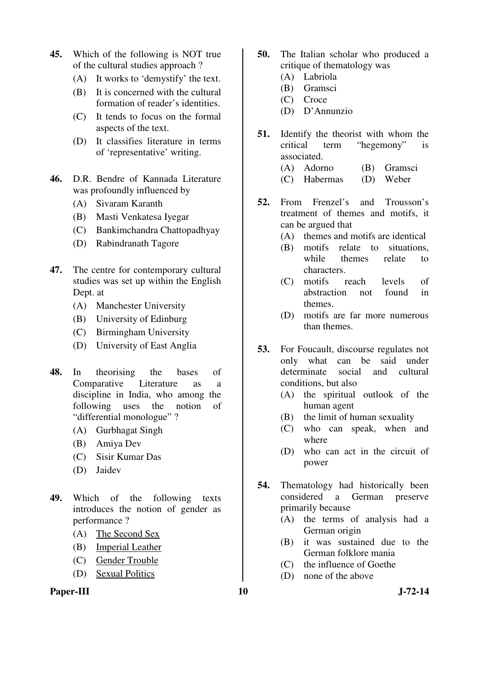- **45.** Which of the following is NOT true of the cultural studies approach ?
	- (A) It works to 'demystify' the text.
	- (B) It is concerned with the cultural formation of reader's identities.
	- (C) It tends to focus on the formal aspects of the text.
	- (D) It classifies literature in terms of 'representative' writing.
- **46.** D.R. Bendre of Kannada Literature was profoundly influenced by
	- (A) Sivaram Karanth
	- (B) Masti Venkatesa Iyegar
	- (C) Bankimchandra Chattopadhyay
	- (D) Rabindranath Tagore
- **47.** The centre for contemporary cultural studies was set up within the English Dept. at
	- (A) Manchester University
	- (B) University of Edinburg
	- (C) Birmingham University
	- (D) University of East Anglia
- **48.** In theorising the bases of Comparative Literature as a discipline in India, who among the following uses the notion of "differential monologue" ?
	- (A) Gurbhagat Singh
	- (B) Amiya Dev
	- (C) Sisir Kumar Das
	- (D) Jaidev
- **49.** Which of the following texts introduces the notion of gender as performance ?
	- (A) The Second Sex
	- (B) Imperial Leather
	- (C) Gender Trouble
	- (D) Sexual Politics



- **50.** The Italian scholar who produced a critique of thematology was
	- (A) Labriola
	- (B) Gramsci
	- (C) Croce
	- (D) D'Annunzio
- **51.** Identify the theorist with whom the critical term "hegemony" is associated.
	- (A) Adorno (B) Gramsci
	- (C) Habermas (D) Weber
- **52.** From Frenzel's and Trousson's treatment of themes and motifs, it can be argued that
	- (A) themes and motifs are identical
	- (B) motifs relate to situations, while themes relate to characters.
	- (C) motifs reach levels of abstraction not found in themes.
	- (D) motifs are far more numerous than themes.
- **53.** For Foucault, discourse regulates not only what can be said under determinate social and cultural conditions, but also
	- (A) the spiritual outlook of the human agent
	- (B) the limit of human sexuality
	- (C) who can speak, when and where
	- (D) who can act in the circuit of power
- **54.** Thematology had historically been considered a German preserve primarily because
	- (A) the terms of analysis had a German origin
	- (B) it was sustained due to the German folklore mania
	- (C) the influence of Goethe
	- (D) none of the above
-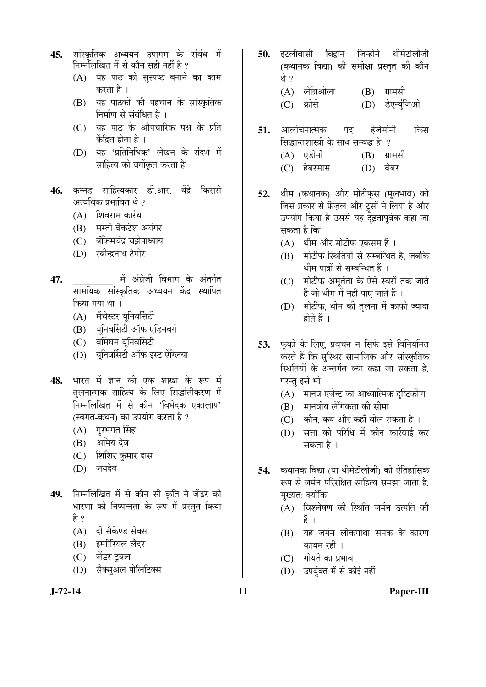- 45. सांस्कृतिक अध्ययन उपागम के संबंध में निम्नलिखित में से कौन सही नहीं है ?
	- $(A)$  यह पाठ को सुस्पष्ट बनाने का काम करता है ।
	- (B) यह पाठकों की पहचान के सांस्कृतिक निर्माण से संबंधित है ।
	- (C) यह पाठ के औपचारिक पक्ष के प्रति केंदित होता है $\perp$
	- (D) यह 'प्रतिनिधिक' लेखन के संदर्भ में साहित्य को वर्गीकृत करता है ।
- **46.** कन्नड साहित्यकार डी.आर. बेंद्रे किससे अत्यधिक प्रभावित थे ?
	- $(A)$  शिवराम कारंथ
	- (B) मस्ती वेंकटेश अयंगर
	- (C) बंकिमचंद्र चट्टोपाध्याय
	- (D) रबीन्द्रनाथ टैगोर
- **47.** \_\_\_\_\_\_\_\_\_ ´Öë †ÓÝÖÏê•Öß ×¾Ö³ÖÖÝÖ Ûêú †ÓŸÖÝÖÔŸÖ सामयिक सांस्कृतिक अध्ययन केंद्र स्थापित किया गया था ।
	- $(A)$  मैंचेस्टर यूनिवर्सिटी
	- $(B)$  युनिवर्सिटी ऑफ एडिनबर्ग
	- $(C)$  बर्मिंघम युनिवर्सिटी
	- (D) यनिवर्सिटी ऑफ इस्ट ऐंग्लिया
- 48. भारत में ज्ञान की एक शाखा के रूप में तुलनात्मक साहित्य के लिए सिद्धांतीकरण में निम्नलिखित में से कौन 'विभेदक एकालाप' (स्वगत-कथन) का उपयोग करता है ?
	- $(A)$  गूरभगत सिंह
	- (B) अमिय देव
	- (C) शिशिर कुमार दास
	- (D) जयदेव
- 49. निम्नलिखित में से कौन सी कृति ने जेंडर की धारणा को निष्पन्नता के रूप में प्रस्तुत किया है $?$ 
	- (A) दी सैकेण्ड सेक्स
	- (B) इम्पीरियल लैदर
	- (C) जेंडर ट्बल
	- (D) सैक्सअल पोलिटिक्स
- 
- 50. इटलीवासी विद्वान जिन्होंने थीमेटोलौजी (कथानक विद्या) की समीक्षा प्रस्तुत की कौन थे ?
	- (A) लेब्रिओला (B) ग्रामसी
	- (C) क्रोसे (D) डेएन्युंजिओ
- **51.** आलोचनात्मक पद हेजेमोनी किस सिद्धान्तशास्त्री के साथ सम्बद्ध है $\,$  ?  $(A)$  एडोर्नो  $(B)$  ग्रामसी (C) हेबरमास (D) वेबर
- **52.** थीम (कथानक) और मोटीफस (मुलभाव) को जिस प्रकार से फ्रेंज़ल और ट्रसों ने लिया है और उपयोग किया है उससे यह दृढ़तापूर्वक कहा जा सकता है कि
	- (A) थीम और मोटीफ एकसम हैं ।
	- $(B)$  गोटीफ स्थितियों से सम्बन्धित हैं. जबकि थीम पात्रों से सम्बन्धित हैं ।
	- (C) गोटीफ अमर्तता के ऐसे स्वरों तक जाते हैं जो थीम में नहीं पाए जाते हैं ।
	- (D) मोटीफ, थीम की तुलना में काफी ज्यादा होते हैं ।
- 53. फको के लिए, प्रवचन न सिर्फ इसे विनियमित करते हैं कि सुस्थिर सामाजिक और सांस्कृतिक स्थितियों के अन्तर्गत क्या कहा जा सकता है, परन्तु इसे भी
	- $(A)$  मानव एजेन्ट का आध्यात्मिक दृष्टिकोण
	- (B) मानवीय लैंगिकता की सीमा
	- (C) कौन, कब और कहाँ बोल सकता है ।
	- (D) सत्ता की परिधि में कौन कार्रवाई कर सकता है ।
- 54. कथानक विद्या (या थीमेटॉलोजी) को ऐतिहासिक रूप से जर्मन परिरक्षित साहित्य समझा जाता है. मुख्यत: क्योंकि
	- $(A)$  विश्लेषण की स्थिति जर्मन उत्पति की हैं ।
	- (B) यह जर्मन लोकगाथा सनक के कारण कायम रही ।
	- $(C)$  गोयते का प्रभाव
	- (D) उपर्युक्त में से कोई नहीं
- 

**J-72-14 11 Paper-III**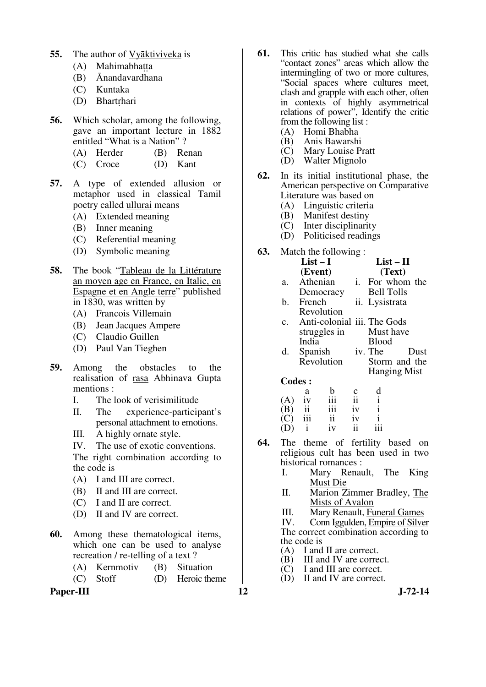- **55.** The author of Vyāktiviveka is
- (A) Mahimabhatta
	- (B) Ānandavardhana
	- (C) Kuntaka
- (D) Bhartrhari
- **56.** Which scholar, among the following, gave an important lecture in 1882 entitled "What is a Nation" ?
	- (A) Herder (B) Renan
	- (C) Croce (D) Kant
- **57.** A type of extended allusion or metaphor used in classical Tamil poetry called ullurai means
	- (A) Extended meaning
	- (B) Inner meaning
	- (C) Referential meaning
	- (D) Symbolic meaning
- **58.** The book "Tableau de la Littérature an moyen age en France, en Italic, en Espagne et en Angle terre" published in 1830, was written by
	- (A) Francois Villemain
	- (B) Jean Jacques Ampere
	- (C) Claudio Guillen
	- (D) Paul Van Tieghen
- **59.** Among the obstacles to the realisation of rasa Abhinava Gupta mentions :
	- I. The look of verisimilitude
	- II. The experience-participant's personal attachment to emotions.
	- III. A highly ornate style.
	- IV. The use of exotic conventions.

 The right combination according to the code is

- (A) I and III are correct.
- (B) II and III are correct.
- (C) I and II are correct.
- (D) II and IV are correct.
- **60.** Among these thematological items, which one can be used to analyse recreation / re-telling of a text ?
	- (A) Kernmotiv (B) Situation
	- (C) Stoff (D) Heroic theme

Paper-III **12** J-72-14

- **61.** This critic has studied what she calls "contact zones" areas which allow the intermingling of two or more cultures, "Social spaces where cultures meet, clash and grapple with each other, often in contexts of highly asymmetrical relations of power", Identify the critic from the following list :<br>(A) Homi Bhabha
	- (A) Homi Bhabha
	- (B) Anis Bawarshi
	- (C) Mary Louise Pratt
	- (D) Walter Mignolo
- **62.** In its initial institutional phase, the American perspective on Comparative Literature was based on
	- (A) Linguistic criteria
	- (B) Manifest destiny
	- (C) Inter disciplinarity
	- (D) Politicised readings
- **63.** Match the following :

|                       | $List-I$                    |                | $List - II$         |
|-----------------------|-----------------------------|----------------|---------------------|
|                       | (Event)                     |                | (Text)              |
| a.                    | Athenian                    | $\mathbf{i}$ . | For whom the        |
|                       | Democracy                   |                | <b>Bell Tolls</b>   |
| b.                    | French                      |                | ii. Lysistrata      |
|                       | Revolution                  |                |                     |
| $\mathbf{c}$ .        | Anti-colonial iii. The Gods |                |                     |
|                       | struggles in                |                | Must have           |
|                       | India                       |                | <b>Blood</b>        |
| d.                    | Spanish                     |                | iv. The<br>Dust     |
|                       | Revolution                  |                | Storm and the       |
|                       |                             |                | <b>Hanging Mist</b> |
| $\mathsf{Coker}\cdot$ |                             |                |                     |

 **Codes :** 

|     | a                       | b   | c  |     |
|-----|-------------------------|-----|----|-----|
| (A) | iv                      | 111 | 11 |     |
| (B) | $\overline{\mathbf{u}}$ | 111 | iv |     |
| (C) | iii                     | 11  | iv |     |
| (D) |                         | iv  | 11 | 111 |

- **64.** The theme of fertility based on religious cult has been used in two historical romances :
	- I. Mary Renault, The King Must Die
	- II. Marion Zimmer Bradley, The Mists of Avalon
	- III. Mary Renault, <u>Funeral Games</u><br>IV. Conn Iggulden. Empire of Silver

Conn Iggulden, Empire of Silver The correct combination according to the code is  $(A)$  I and

- (A) I and II are correct.<br>(B) III and IV are corre
- $(B)$  III and IV are correct.<br>(C) I and III are correct.
- I and III are correct.
- (D) II and IV are correct.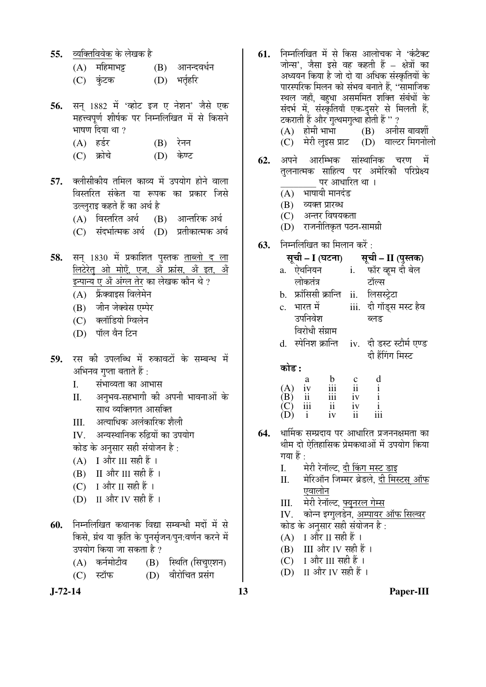- **55.** व्यक्तिविवेक के लेखक है
	- $(A)$  महिमाभट्ट  $(B)$  आनन्दवर्धन (C) कुंटक (D) भर्तृहरि
- 56. सन् 1882 में 'व्होट इज ए नेशन' जैसे एक महत्त्वपर्ण शीर्षक पर निम्नलिखित में से किसने भाषण दिया था ?
	- $(A)$  हर्डर  $(B)$  रेनन
	- (C) क्रोचे (D) केण्ट
- **57.** क्लीसीकीय तमिल काव्य में उपयोग होने वाला विस्तरित संकेत या रूपक का प्रकार जिसे उल्लराइ कहते हैं का अर्थ है
	- (A) विस्तरित अर्थ (B) आन्तरिक अर्थ
	- $(C)$  संदर्भात्मक अर्थ  $(D)$  प्रतीकात्मक अर्थ
- **58.** सन् 1830 में प्रकाशित पुस्तक ताब्लो द ला लिटेरेत ओ मोएँ. एज. अँ फ्रांस, अँ इत, अँ इन्पान्य ए अँ अंग्ल तेर का लेखक कौन थे ?
	- (A) फ्रैंक्वाइस विलेमेन
	- (B) जीन जेक्वेस एम्पेर
	- (C) क्लॉडियो ग्विलेन
	- (D) पॉल वैन टिन
- 59. रस की उपलब्धि में रुकावटों के सम्बन्ध में अभिनव गुप्ता बताते हैं :
	- I. संभाव्यता का आभास
	- II. अनुभव-सहभागी की अपनी भावनाओं के साथ व्यक्तिगत आसक्ति
	- III. अत्याधिक अलंकारिक शैली
	- IV. अन्यस्थानिक रुढ़ियों का उपयोग
	- <u>कोड के अनुसार सही संयोजन है :</u>
	- $(A)$  I और III सही हैं।
	- $(B)$  II और III सही हैं।
	- $(C)$  I और II सही हैं।
	- (D) II और IV सही हैं।
- **60.** निम्नलिखित कथानक विद्या सम्बन्धी मदों में से किसे, ग्रंथ या कृति के पुनर्सुजन/पुन:वर्णन करने में उपयोग किया जा सकता है ?
	- (A) कर्नमोटीव (B) स्थिति (सिचुएशन)
	- (C) स्टॉफ (D) वीरोचित प्रसंग
- **J-72-14 13 Paper-III**
- 61. निम्नलिखित में से किस आलोचक ने 'कंटैक्ट जोन्स', जैसा इसे वह कहती हैं – क्षेत्रों का अध्ययन किया है जो दो या अधिक संस्कृतियों के पारस्परिक मिलन को संभव बनाते हैं, "सामाजिक स्थल जहाँ, बहधा असममित शक्ति संबंधों के संदर्भ में, संस्कृतियाँ एक-दुसरे से मिलती हैं, टकराती हैं और गुत्थमगुत्था होती हैं '' ?<br>(A) होमी भाभा (B) अनी (A) होमी भाभा (B) अनीस बावर्शी<br>(C) मेरी लइस प्राट (D) वाल्टर मिगनोत् (D) वाल्टर मिगनोलो
- **62.** अपने आरम्भिक सांस्थानिक चरण में तलनात्मक साहित्य पर अमेरिकी परिप्रेक्ष्य पर आधारित था ।
	- $(A)$  भाषायी मानदंड
	- (B) व्यक्त प्रारब्ध
	- (C) अन्तर विषयकता
	- (D) राजनीतिकृत पठन-सामग्री
- **63.** निम्नलिखित का मिलान करें :

|       |                                                                                                          |                                        |                     | सूची – I (घटना)       सूची – II (पुस्तक)               |    |
|-------|----------------------------------------------------------------------------------------------------------|----------------------------------------|---------------------|--------------------------------------------------------|----|
| a.    | ऐथनियन                                                                                                   |                                        | $\mathbf{i}$ .      | फॉर व्हम दी बेल                                        |    |
|       | लोकतंत्र                                                                                                 |                                        |                     | टॉल्स                                                  |    |
| b.    |                                                                                                          | फ्रांसिसी क्रान्ति                     |                     | ii. लिसस्ट्रेटा                                        |    |
|       | भारत में                                                                                                 |                                        |                     | iii. दी गॉड्स मस्ट हैव                                 |    |
|       | उपनिवेश                                                                                                  |                                        |                     | ब्लड                                                   |    |
|       | विरोधी संग्राम                                                                                           |                                        |                     |                                                        |    |
|       |                                                                                                          |                                        |                     | d. स्पेनिश क्रान्ति iv. दी डस्ट स्टोर्म एण्ड           |    |
|       |                                                                                                          |                                        |                     | दी हैंगिंग मिस्ट                                       |    |
| कोड : |                                                                                                          |                                        |                     |                                                        |    |
|       | $\begin{array}{cc} (A) & \text{iv} \\ (B) & \text{ii} \\ (C) & \text{iii} \\ (D) & \text{i} \end{array}$ |                                        | $\frac{c}{11}$      |                                                        |    |
|       |                                                                                                          | $\frac{0}{111}$                        |                     | $\begin{array}{c}\n a \\  i \\  i \\  i\n \end{array}$ |    |
|       |                                                                                                          | $\frac{1}{11}$ ii<br>$\frac{1}{11}$ iv | iv                  |                                                        |    |
|       |                                                                                                          |                                        | iv                  |                                                        |    |
|       |                                                                                                          |                                        | $\ddot{\mathbf{i}}$ |                                                        |    |
|       | र्शााजन्म                                                                                                |                                        |                     | musta smitha mataman                                   | ਨਸ |

- **64.** धार्मिक सम्प्रदाय पर आधारित प्रजननक्षमता का थीम दो ऐतिहासिक प्रेमकथाओं में उपयोग किया गया हैं :
	- I. मेरी रेनॉल्ट, <u>दी किंग मस्ट डाइ</u><br>II. मेरिऑन जिम्मर ब्रेडले दी मिर
	- मेरिऑन जिम्मर ब्रेडले, दी मिस्टस ऑफ एवालोन
	- III. मेरी रेनॉल्ट, फ्युनरल गेम्स
	- IV. कोन्न इग्गुलडेन, अम्पायर ऑफ सिल्वर
	- कोड के अनुसार सही संयोजन है:
	- $(A)$  I और II सही हैं ।
	- $(B)$  III और IV सही हैं।
	- $(C)$  I और III सही हैं।
	- (D) II और IV सही हैं ।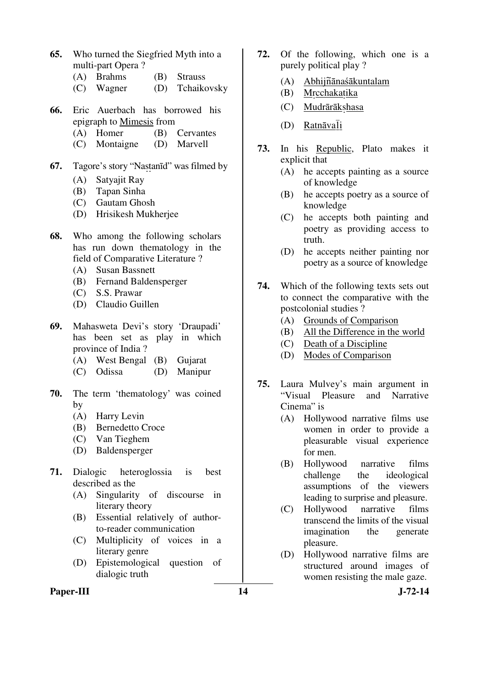- **65.** Who turned the Siegfried Myth into a multi-part Opera ?
	- (A) Brahms (B) Strauss
	- (C) Wagner (D) Tchaikovsky
- **66.** Eric Auerbach has borrowed his epigraph to Mimesis from
	- (A) Homer (B) Cervantes
	- (C) Montaigne (D) Marvell
- **67.** Tagore's story "Nastanīd" was filmed by
	- (A) Satyajit Ray
	- (B) Tapan Sinha
	- (C) Gautam Ghosh
	- (D) Hrisikesh Mukherjee
- **68.** Who among the following scholars has run down thematology in the field of Comparative Literature ?
	- (A) Susan Bassnett
	- (B) Fernand Baldensperger
	- (C) S.S. Prawar
	- (D) Claudio Guillen
- **69.** Mahasweta Devi's story 'Draupadi' has been set as play in which province of India ?
	- (A) West Bengal (B) Gujarat
	- (C) Odissa (D) Manipur
- **70.** The term 'thematology' was coined by
	- (A) Harry Levin
	- (B) Bernedetto Croce
	- (C) Van Tieghem
	- (D) Baldensperger
- **71.** Dialogic heteroglossia is best described as the
	- (A) Singularity of discourse in literary theory
	- (B) Essential relatively of authorto-reader communication
	- (C) Multiplicity of voices in a literary genre
	- (D) Epistemological question of dialogic truth

Paper-III 14 J-72-14

- **72.** Of the following, which one is a purely political play ?
- (A) Abhijñānaśākuntalam
- (B) Mrcchakatika
- (C) Mudrārākṣhasa
- (D) Ratnāvali
- **73.** In his Republic, Plato makes it explicit that
	- (A) he accepts painting as a source of knowledge
	- (B) he accepts poetry as a source of knowledge
	- (C) he accepts both painting and poetry as providing access to truth.
	- (D) he accepts neither painting nor poetry as a source of knowledge
- **74.** Which of the following texts sets out to connect the comparative with the postcolonial studies ?
	- (A) Grounds of Comparison
	- (B) All the Difference in the world
	- (C) Death of a Discipline
	- (D) Modes of Comparison
- **75.** Laura Mulvey's main argument in "Visual Pleasure and Narrative Cinema" is
	- (A) Hollywood narrative films use women in order to provide a pleasurable visual experience for men.
	- (B) Hollywood narrative films challenge the ideological assumptions of the viewers leading to surprise and pleasure.
	- (C) Hollywood narrative films transcend the limits of the visual imagination the generate pleasure.
	- (D) Hollywood narrative films are structured around images of women resisting the male gaze.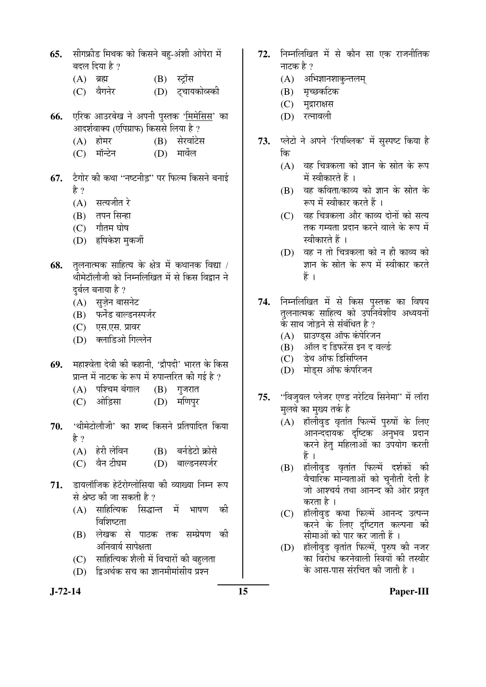- 65. सीगफ्रीड मिथक को किसने बह-अंशी ओपेरा में बदल दिया है ?
	- $(A)$  ब्रह्म  $(B)$  स्ट्रॉस
	- (C) ¾ÖîÝÖ®Öê¸ü (D) ™Ëü"ÖÖµÖÛúÖê¾ÃÛúß
- **66.** एरिक आउरबेख ने अपनी पुस्तक '<u>मिमेसिस</u>' का आदर्शवाक्य (एपिग्राफ) किससे लिया है ?
	- (A) होमर (B) सेरवांटेस
	- (C) मॉन्टेन (D) मार्वेल
- 67. टेगोर की कथा "नष्टनीड़" पर फिल्म किसने बनाई हे ?
	- $(A)$  सत्यजीत रे
	- (B) तपन सिन्हा
	- $(C)$  गौतम घोष
	- (D) हृषिकेश मुकर्जी
- **68.** तुलनात्मक साहित्य के क्षेत्र में कथानक विद्या / थीमेटॉलोजी को निम्नलिखित में से किस विद्वान ने दुर्बल बनाया है ?
	- (A) सुज़ेन बासनेट
	- (B) फर्नेंड बाल्डनस्पर्जर
	- $(C)$  varya yid
	- (D) क्लाडिओ गिल्लेन
- **69.** महाश्वेता देवी की कहानी. 'द्रौपदी' भारत के किस प्रान्त में नाटक के रूप में रुपान्तरित की गई है ?
	-
	- (A) पश्चिम बंगाल (B) गुजरात<br>(C) ओडिसा (D) मणिपर (C) ओड़िसा
- 70. 'थीमेटोलौजी' का शब्द किसने प्रतिपादित किया
	- है ?<br>(A) हेरी लेविन (A) हेरी लेविन (B) बर्नडेटो क्रोसे<br>(C) वैन टीघम (D) बाल्डनस्पर्जर
	- (D) बाल्डनस्पर्जर
- **71.** डायलॉजिक हेटॅरोग्लोसिया की व्याख्या निम्न रूप से श्रेष्ठ की जा सकती है ?
	- (A) साहित्यिक सिद्धान्त में भाषण की विशिष्टता
	- (B) लेखक से पाठक तक सम्प्रेषण की अनिवार्य सापेक्षता
	- (C) साहित्यिक शैली में विचारों की बहलता
	- (D) हिअर्थक सच का ज्ञानमीमांसीय प्रश्न
- 72. निम्नलिखित में से कौन सा एक राजनीतिक नाटक है ?
	- $(A)$  अभिज्ञानशाकुन्तलम्
	- (B) मृच्छर्काटेक
	- (C) मुद्राराक्षस
	- (D) रत्नावली
- 73. प्लेटो ने अपने 'रिपब्लिक' में सुस्पष्ट किया है कि
	- $(A)$  वह चित्रकला को ज्ञान के स्रोत के रूप  $\vec{H}$  स्वीकारते हैं ।
	- $(B)$  वह कविता/काव्य को ज्ञान के स्रोत के रूप में स्वीकार करते हैं ।
	- (C) वह चित्रकला और काव्य दोनों को सत्य तक गम्यता प्रदान करने वाले के रूप में स्वीकारते हैं ।
	- $(D)$  वह न तो चित्रकला को न ही काव्य को जान के स्रोत के रूप में स्वीकार करते हैं $\frac{3}{2}$ ।
- 74. निम्नलिखित में से किस पुस्तक का विषय तलनात्मक साहित्य को उपनिवेशीय अध्ययनों के साथ जोड़ने से संबंधित है ?
	- (A) ) ग्राउण्ड्स ऑफ कंपेरिजन<br>(B) ) ऑल द डिफरेंस इन द व
	- <u>ँ</u> ऑल द डिफरेंस इन द वर्ल्ड
	- (C) डेथ ऑफ डिसिप्लिन
	- (D) मोड्स ऑफ कंपरिजन
- 75. "विज़यल प्लेजर एण्ड नरेटिव सिनेमा" में लॉरा मुलवे का मुख्य तर्क है
	- (A) हॉलीवुड वृतांत फिल्में पुरुषों के लिए आनन्ददायक दृष्टिक अनुभव प्रदान करने हेतु महिलाओं का उपयोग करती हैं ।
	- (B) हॉलीवुड वृतांत फिल्में दर्शकों की वैचारिक मान्यताओं को चुनौती देती है <u>जो आश्चर्य तथा आनन्द को ओर प्रवृत</u> करता है ।
	- (C) हॉलीवुड कथा फिल्में आनन्द उत्पन्न करने के लिए दष्टिगत कल्पना की सीमाओं को पार कर जाती हैं ।
	- (D) हॉलीवुड वृतांत फिल्में, पुरुष की नजर का विरोध करनेवाली स्त्रियों की तस्वीर के आस-पास संरचित की जाती है ।

#### **J-72-14 15 Paper-III**